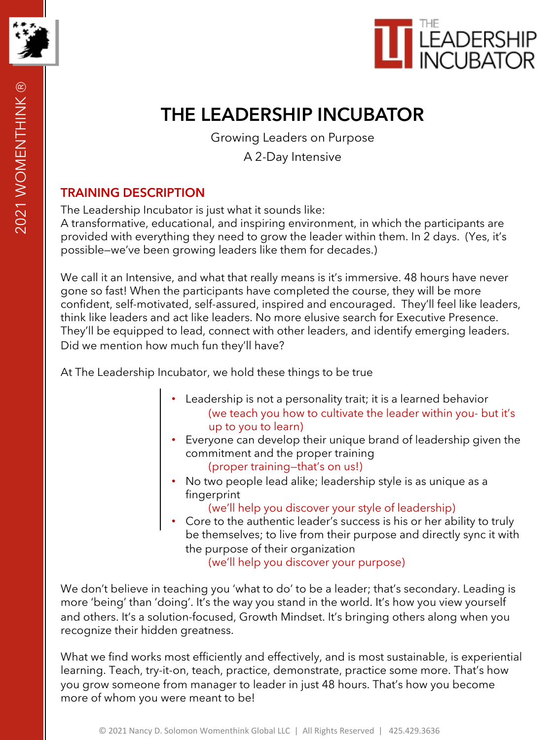



# **THE LEADERSHIP INCUBATOR**

Growing Leaders on Purpose

A 2-Day Intensive

### **TRAINING DESCRIPTION**

The Leadership Incubator is just what it sounds like:

A transformative, educational, and inspiring environment, in which the participants are provided with everything they need to grow the leader within them. In 2 days. (Yes, it's possible—we've been growing leaders like them for decades.)

We call it an Intensive, and what that really means is it's immersive. 48 hours have never gone so fast! When the participants have completed the course, they will be more confident, self-motivated, self-assured, inspired and encouraged. They'll feel like leaders, think like leaders and act like leaders. No more elusive search for Executive Presence. They'll be equipped to lead, connect with other leaders, and identify emerging leaders. Did we mention how much fun they'll have?

At The Leadership Incubator, we hold these things to be true

- Leadership is not a personality trait; it is a learned behavior (we teach you how to cultivate the leader within you- but it's up to you to learn)
- Everyone can develop their unique brand of leadership given the commitment and the proper training (proper training—that's on us!)
- No two people lead alike; leadership style is as unique as a fingerprint
	- (we'll help you discover your style of leadership)
- Core to the authentic leader's success is his or her ability to truly be themselves; to live from their purpose and directly sync it with the purpose of their organization (we'll help you discover your purpose)

We don't believe in teaching you 'what to do' to be a leader; that's secondary. Leading is more 'being' than 'doing'. It's the way you stand in the world. It's how you view yourself and others. It's a solution-focused, Growth Mindset. It's bringing others along when you recognize their hidden greatness.

What we find works most efficiently and effectively, and is most sustainable, is experiential learning. Teach, try-it-on, teach, practice, demonstrate, practice some more. That's how you grow someone from manager to leader in just 48 hours. That's how you become more of whom you were meant to be!